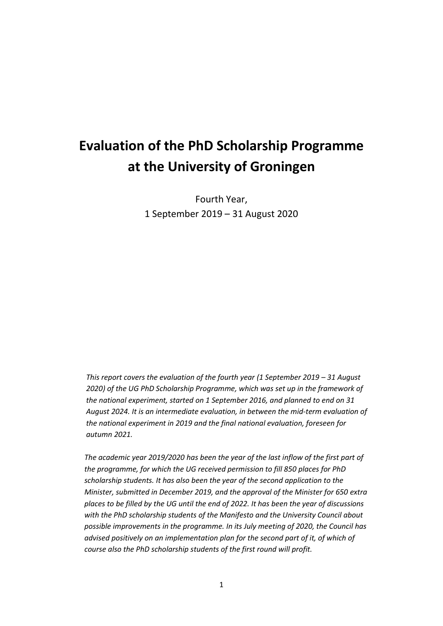# **Evaluation of the PhD Scholarship Programme at the University of Groningen**

Fourth Year, 1 September 2019 – 31 August 2020

*This report covers the evaluation of the fourth year (1 September 2019 – 31 August 2020) of the UG PhD Scholarship Programme, which was set up in the framework of the national experiment, started on 1 September 2016, and planned to end on 31 August 2024. It is an intermediate evaluation, in between the mid-term evaluation of the national experiment in 2019 and the final national evaluation, foreseen for autumn 2021.*

*The academic year 2019/2020 has been the year of the last inflow of the first part of the programme, for which the UG received permission to fill 850 places for PhD scholarship students. It has also been the year of the second application to the Minister, submitted in December 2019, and the approval of the Minister for 650 extra places to be filled by the UG until the end of 2022. It has been the year of discussions with the PhD scholarship students of the Manifesto and the University Council about possible improvements in the programme. In its July meeting of 2020, the Council has advised positively on an implementation plan for the second part of it, of which of course also the PhD scholarship students of the first round will profit.*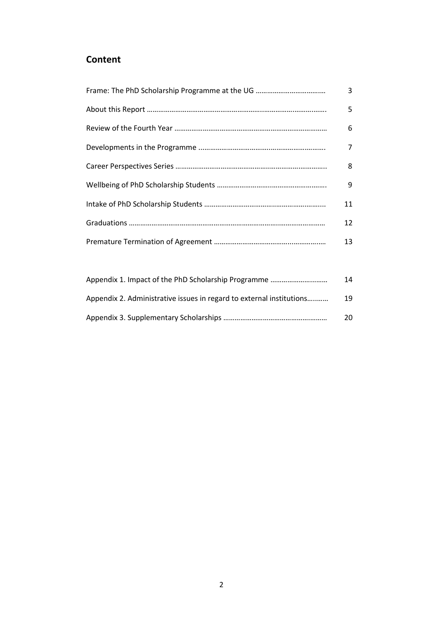# **Content**

| 3  |
|----|
| 5  |
| 6  |
| 7  |
| 8  |
| 9  |
| 11 |
| 12 |
| 13 |

|                                                                      | 14 |
|----------------------------------------------------------------------|----|
| Appendix 2. Administrative issues in regard to external institutions | 19 |
|                                                                      | 20 |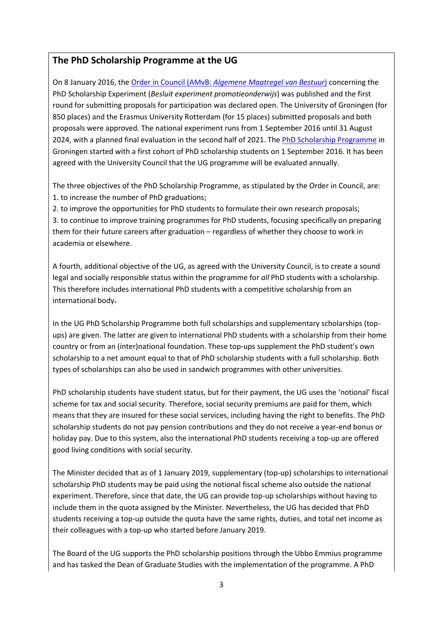### **The PhD Scholarship Programme at the UG**

On 8 January 2016, the Order in Council (AMvB: *[Algemene Maatregel van Bestuur](https://www.rug.nl/education/phd-programmes/phd-scholarship-programme/amvb-en.pdf)*) concerning the PhD Scholarship Experiment (*Besluit experiment promotieonderwijs*) was published and the first round for submitting proposals for participation was declared open. The University of Groningen (for 850 places) and the Erasmus University Rotterdam (for 15 places) submitted proposals and both proposals were approved. The national experiment runs from 1 September 2016 until 31 August 2024, with a planned final evaluation in the second half of 2021. The [PhD Scholarship Programme](https://www.rug.nl/education/phd-programmes/phd-scholarship-programme) in Groningen started with a first cohort of PhD scholarship students on 1 September 2016. It has been agreed with the University Council that the UG programme will be evaluated annually.

The three objectives of the PhD Scholarship Programme, as stipulated by the Order in Council, are: 1. to increase the number of PhD graduations;

2. to improve the opportunities for PhD students to formulate their own research proposals; 3. to continue to improve training programmes for PhD students, focusing specifically on preparing them for their future careers after graduation – regardless of whether they choose to work in academia or elsewhere.

A fourth, additional objective of the UG, as agreed with the University Council, is to create a sound legal and socially responsible status within the programme for *all* PhD students with a scholarship. This therefore includes international PhD students with a competitive scholarship from an international body.

In the UG PhD Scholarship Programme both full scholarships and supplementary scholarships (topups) are given. The latter are given to international PhD students with a scholarship from their home country or from an (inter)national foundation. These top-ups supplement the PhD student's own scholarship to a net amount equal to that of PhD scholarship students with a full scholarship. Both types of scholarships can also be used in sandwich programmes with other universities.

PhD scholarship students have student status, but for their payment, the UG uses the 'notional' fiscal scheme for tax and social security. Therefore, social security premiums are paid for them, which means that they are insured for these social services, including having the right to benefits. The PhD scholarship students do not pay pension contributions and they do not receive a year-end bonus or holiday pay. Due to this system, also the international PhD students receiving a top-up are offered good living conditions with social security.

The Minister decided that as of 1 January 2019, supplementary (top-up) scholarships to international scholarship PhD students may be paid using the notional fiscal scheme also outside the national experiment. Therefore, since that date, the UG can provide top-up scholarships without having to include them in the quota assigned by the Minister. Nevertheless, the UG has decided that PhD students receiving a top-up outside the quota have the same rights, duties, and total net income as their colleagues with a top-up who started before January 2019.

The Board of the UG supports the PhD scholarship positions through the Ubbo Emmius programme and has tasked the Dean of Graduate Studies with the implementation of the programme. A PhD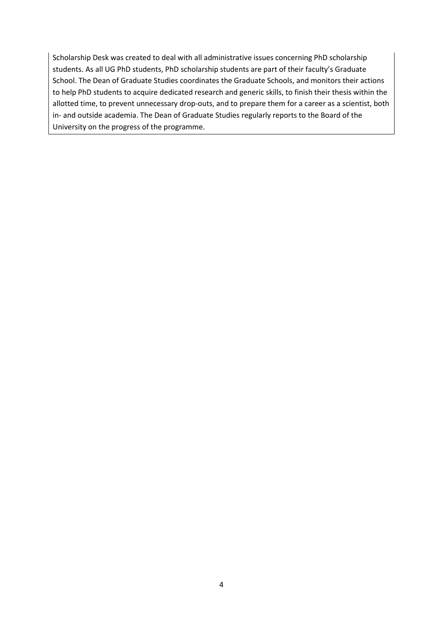Scholarship Desk was created to deal with all administrative issues concerning PhD scholarship students. As all UG PhD students, PhD scholarship students are part of their faculty's Graduate School. The Dean of Graduate Studies coordinates the Graduate Schools, and monitors their actions to help PhD students to acquire dedicated research and generic skills, to finish their thesis within the allotted time, to prevent unnecessary drop-outs, and to prepare them for a career as a scientist, both in- and outside academia. The Dean of Graduate Studies regularly reports to the Board of the University on the progress of the programme.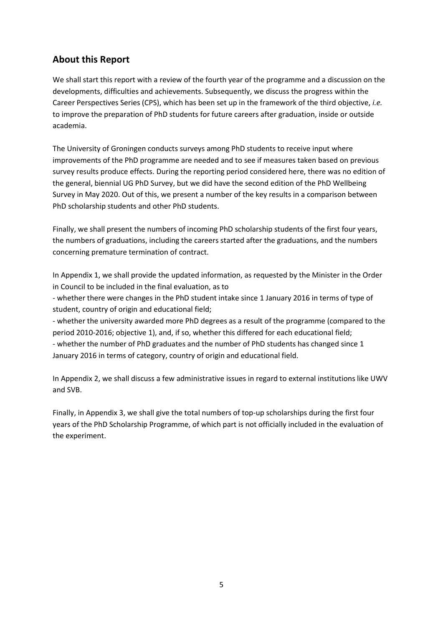# **About this Report**

We shall start this report with a review of the fourth year of the programme and a discussion on the developments, difficulties and achievements. Subsequently, we discuss the progress within the Career Perspectives Series (CPS), which has been set up in the framework of the third objective, *i.e.* to improve the preparation of PhD students for future careers after graduation, inside or outside academia.

The University of Groningen conducts surveys among PhD students to receive input where improvements of the PhD programme are needed and to see if measures taken based on previous survey results produce effects. During the reporting period considered here, there was no edition of the general, biennial UG PhD Survey, but we did have the second edition of the PhD Wellbeing Survey in May 2020. Out of this, we present a number of the key results in a comparison between PhD scholarship students and other PhD students.

Finally, we shall present the numbers of incoming PhD scholarship students of the first four years, the numbers of graduations, including the careers started after the graduations, and the numbers concerning premature termination of contract.

In Appendix 1, we shall provide the updated information, as requested by the Minister in the Order in Council to be included in the final evaluation, as to

- whether there were changes in the PhD student intake since 1 January 2016 in terms of type of student, country of origin and educational field;

- whether the university awarded more PhD degrees as a result of the programme (compared to the period 2010-2016; objective 1), and, if so, whether this differed for each educational field; - whether the number of PhD graduates and the number of PhD students has changed since 1 January 2016 in terms of category, country of origin and educational field.

In Appendix 2, we shall discuss a few administrative issues in regard to external institutions like UWV and SVB.

Finally, in Appendix 3, we shall give the total numbers of top-up scholarships during the first four years of the PhD Scholarship Programme, of which part is not officially included in the evaluation of the experiment.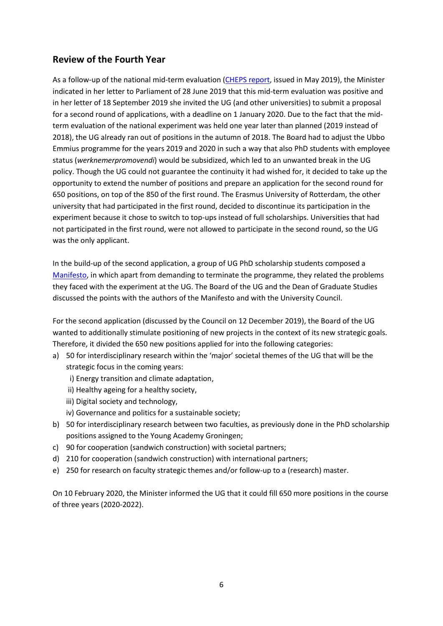# **Review of the Fourth Year**

As a follow-up of the national mid-term evaluation [\(CHEPS report,](https://www.rug.nl/education/phd-programmes/phd-scholarship-programme/about/interim-evaluation-experiment-may-2019.pdf) issued in May 2019), the Minister indicated in her letter to Parliament of 28 June 2019 that this mid-term evaluation was positive and in her letter of 18 September 2019 she invited the UG (and other universities) to submit a proposal for a second round of applications, with a deadline on 1 January 2020. Due to the fact that the midterm evaluation of the national experiment was held one year later than planned (2019 instead of 2018), the UG already ran out of positions in the autumn of 2018. The Board had to adjust the Ubbo Emmius programme for the years 2019 and 2020 in such a way that also PhD students with employee status (*werknemerpromovendi*) would be subsidized, which led to an unwanted break in the UG policy. Though the UG could not guarantee the continuity it had wished for, it decided to take up the opportunity to extend the number of positions and prepare an application for the second round for 650 positions, on top of the 850 of the first round. The Erasmus University of Rotterdam, the other university that had participated in the first round, decided to discontinue its participation in the experiment because it chose to switch to top-ups instead of full scholarships. Universities that had not participated in the first round, were not allowed to participate in the second round, so the UG was the only applicant.

In the build-up of the second application, a group of UG PhD scholarship students composed a [Manifesto,](https://hetpnn.nl/wp-content/uploads/2019/12/Manifesto-against-experiment.pdf) in which apart from demanding to terminate the programme, they related the problems they faced with the experiment at the UG. The Board of the UG and the Dean of Graduate Studies discussed the points with the authors of the Manifesto and with the University Council.

For the second application (discussed by the Council on 12 December 2019), the Board of the UG wanted to additionally stimulate positioning of new projects in the context of its new strategic goals. Therefore, it divided the 650 new positions applied for into the following categories:

- a) 50 for interdisciplinary research within the 'major' societal themes of the UG that will be the strategic focus in the coming years:
	- i) Energy transition and climate adaptation,
	- ii) Healthy ageing for a healthy society,
	- iii) Digital society and technology,
	- iv) Governance and politics for a sustainable society;
- b) 50 for interdisciplinary research between two faculties, as previously done in the PhD scholarship positions assigned to the Young Academy Groningen;
- c) 90 for cooperation (sandwich construction) with societal partners;
- d) 210 for cooperation (sandwich construction) with international partners;
- e) 250 for research on faculty strategic themes and/or follow-up to a (research) master.

On 10 February 2020, the Minister informed the UG that it could fill 650 more positions in the course of three years (2020-2022).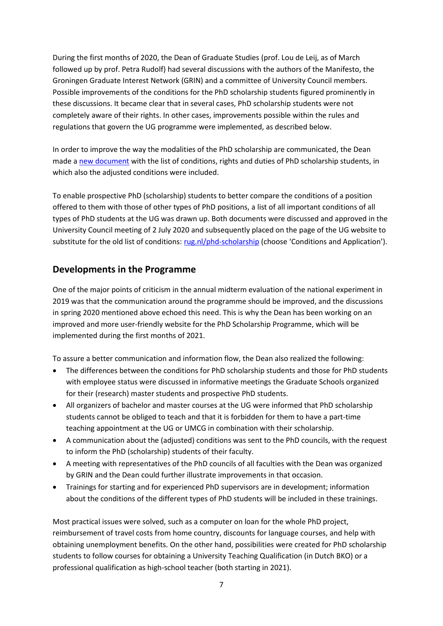During the first months of 2020, the Dean of Graduate Studies (prof. Lou de Leij, as of March followed up by prof. Petra Rudolf) had several discussions with the authors of the Manifesto, the Groningen Graduate Interest Network (GRIN) and a committee of University Council members. Possible improvements of the conditions for the PhD scholarship students figured prominently in these discussions. It became clear that in several cases, PhD scholarship students were not completely aware of their rights. In other cases, improvements possible within the rules and regulations that govern the UG programme were implemented, as described below.

In order to improve the way the modalities of the PhD scholarship are communicated, the Dean made [a new document](https://www.rug.nl/education/phd-programmes/phd-scholarship-programme/conditions-application/conditions-en.pdf) with the list of conditions, rights and duties of PhD scholarship students, in which also the adjusted conditions were included.

To enable prospective PhD (scholarship) students to better compare the conditions of a position offered to them with those of other types of PhD positions, a list of all important conditions of all types of PhD students at the UG was drawn up. Both documents were discussed and approved in the University Council meeting of 2 July 2020 and subsequently placed on the page of the UG website to substitute for the old list of conditions: [rug.nl/phd-scholarship](https://www.rug.nl/phd-scholarship) (choose 'Conditions and Application').

### **Developments in the Programme**

One of the major points of criticism in the annual midterm evaluation of the national experiment in 2019 was that the communication around the programme should be improved, and the discussions in spring 2020 mentioned above echoed this need. This is why the Dean has been working on an improved and more user-friendly website for the PhD Scholarship Programme, which will be implemented during the first months of 2021.

To assure a better communication and information flow, the Dean also realized the following:

- The differences between the conditions for PhD scholarship students and those for PhD students with employee status were discussed in informative meetings the Graduate Schools organized for their (research) master students and prospective PhD students.
- All organizers of bachelor and master courses at the UG were informed that PhD scholarship students cannot be obliged to teach and that it is forbidden for them to have a part-time teaching appointment at the UG or UMCG in combination with their scholarship.
- A communication about the (adjusted) conditions was sent to the PhD councils, with the request to inform the PhD (scholarship) students of their faculty.
- A meeting with representatives of the PhD councils of all faculties with the Dean was organized by GRIN and the Dean could further illustrate improvements in that occasion.
- Trainings for starting and for experienced PhD supervisors are in development; information about the conditions of the different types of PhD students will be included in these trainings.

Most practical issues were solved, such as a computer on loan for the whole PhD project, reimbursement of travel costs from home country, discounts for language courses, and help with obtaining unemployment benefits. On the other hand, possibilities were created for PhD scholarship students to follow courses for obtaining a University Teaching Qualification (in Dutch BKO) or a professional qualification as high-school teacher (both starting in 2021).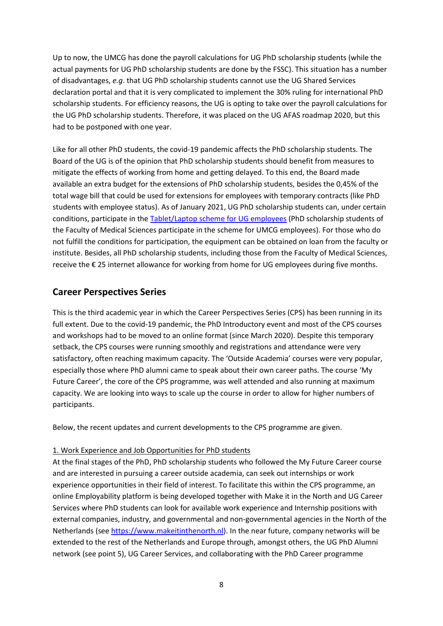Up to now, the UMCG has done the payroll calculations for UG PhD scholarship students (while the actual payments for UG PhD scholarship students are done by the FSSC). This situation has a number of disadvantages, *e.g*. that UG PhD scholarship students cannot use the UG Shared Services declaration portal and that it is very complicated to implement the 30% ruling for international PhD scholarship students. For efficiency reasons, the UG is opting to take over the payroll calculations for the UG PhD scholarship students. Therefore, it was placed on the UG AFAS roadmap 2020, but this had to be postponed with one year.

Like for all other PhD students, the covid-19 pandemic affects the PhD scholarship students. The Board of the UG is of the opinion that PhD scholarship students should benefit from measures to mitigate the effects of working from home and getting delayed. To this end, the Board made available an extra budget for the extensions of PhD scholarship students, besides the 0,45% of the total wage bill that could be used for extensions for employees with temporary contracts (like PhD students with employee status). As of January 2021, UG PhD scholarship students can, under certain conditions, participate in the [Tablet/Laptop](https://myuniversity.rug.nl/infonet/medewerkers/werk-en-carriere/voorwaarden/vergoedingen/tabletregeling/) scheme for UG employees (PhD scholarship students of the Faculty of Medical Sciences participate in the scheme for UMCG employees). For those who do not fulfill the conditions for participation, the equipment can be obtained on loan from the faculty or institute. Besides, all PhD scholarship students, including those from the Faculty of Medical Sciences, receive the € 25 internet allowance for working from home for UG employees during five months.

### **Career Perspectives Series**

This is the third academic year in which the Career Perspectives Series (CPS) has been running in its full extent. Due to the covid-19 pandemic, the PhD Introductory event and most of the CPS courses and workshops had to be moved to an online format (since March 2020). Despite this temporary setback, the CPS courses were running smoothly and registrations and attendance were very satisfactory, often reaching maximum capacity. The 'Outside Academia' courses were very popular, especially those where PhD alumni came to speak about their own career paths. The course 'My Future Career', the core of the CPS programme, was well attended and also running at maximum capacity. We are looking into ways to scale up the course in order to allow for higher numbers of participants.

Below, the recent updates and current developments to the CPS programme are given.

#### 1. Work Experience and Job Opportunities for PhD students

At the final stages of the PhD, PhD scholarship students who followed the My Future Career course and are interested in pursuing a career outside academia, can seek out internships or work experience opportunities in their field of interest. To facilitate this within the CPS programme, an online Employability platform is being developed together with Make it in the North and UG Career Services where PhD students can look for available work experience and Internship positions with external companies, industry, and governmental and non-governmental agencies in the North of the Netherlands (see [https://www.makeitinthenorth.nl\)](https://www.makeitinthenorth.nl/). In the near future, company networks will be extended to the rest of the Netherlands and Europe through, amongst others, the UG PhD Alumni network (see point 5), UG Career Services, and collaborating with the PhD Career programme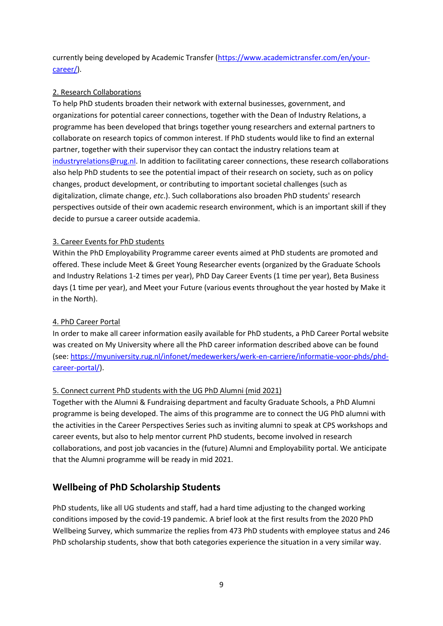currently being developed by Academic Transfer [\(https://www.academictransfer.com/en/your](https://www.academictransfer.com/en/your-career/)[career/\)](https://www.academictransfer.com/en/your-career/).

#### 2. Research Collaborations

To help PhD students broaden their network with external businesses, government, and organizations for potential career connections, together with the Dean of Industry Relations, a programme has been developed that brings together young researchers and external partners to collaborate on research topics of common interest. If PhD students would like to find an external partner, together with their supervisor they can contact the industry relations team at  $industry relations@rug.nl.$  In addition to facilitating career connections, these research collaborations also help PhD students to see the potential impact of their research on society, such as on policy changes, product development, or contributing to important societal challenges (such as digitalization, climate change, *etc*.). Such collaborations also broaden PhD students' research perspectives outside of their own academic research environment, which is an important skill if they decide to pursue a career outside academia.

#### 3. Career Events for PhD students

Within the PhD Employability Programme career events aimed at PhD students are promoted and offered. These include Meet & Greet Young Researcher events (organized by the Graduate Schools and Industry Relations 1-2 times per year), PhD Day Career Events (1 time per year), Beta Business days (1 time per year), and Meet your Future (various events throughout the year hosted by Make it in the North).

#### 4. PhD Career Portal

In order to make all career information easily available for PhD students, a PhD Career Portal website was created on My University where all the PhD career information described above can be found (see: [https://myuniversity.rug.nl/infonet/medewerkers/werk-en-carriere/informatie-voor-phds/phd](https://myuniversity.rug.nl/infonet/medewerkers/werk-en-carriere/informatie-voor-phds/phd-career-portal/)[career-portal/\)](https://myuniversity.rug.nl/infonet/medewerkers/werk-en-carriere/informatie-voor-phds/phd-career-portal/).

#### 5. Connect current PhD students with the UG PhD Alumni (mid 2021)

Together with the Alumni & Fundraising department and faculty Graduate Schools, a PhD Alumni programme is being developed. The aims of this programme are to connect the UG PhD alumni with the activities in the Career Perspectives Series such as inviting alumni to speak at CPS workshops and career events, but also to help mentor current PhD students, become involved in research collaborations, and post job vacancies in the (future) Alumni and Employability portal. We anticipate that the Alumni programme will be ready in mid 2021.

# **Wellbeing of PhD Scholarship Students**

PhD students, like all UG students and staff, had a hard time adjusting to the changed working conditions imposed by the covid-19 pandemic. A brief look at the first results from the 2020 PhD Wellbeing Survey, which summarize the replies from 473 PhD students with employee status and 246 PhD scholarship students, show that both categories experience the situation in a very similar way.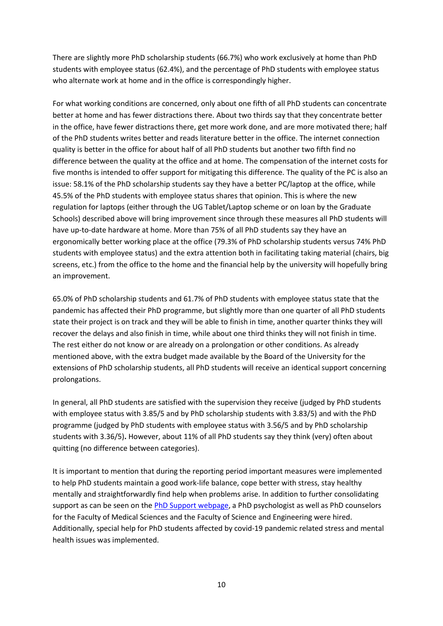There are slightly more PhD scholarship students (66.7%) who work exclusively at home than PhD students with employee status (62.4%), and the percentage of PhD students with employee status who alternate work at home and in the office is correspondingly higher.

For what working conditions are concerned, only about one fifth of all PhD students can concentrate better at home and has fewer distractions there. About two thirds say that they concentrate better in the office, have fewer distractions there, get more work done, and are more motivated there; half of the PhD students writes better and reads literature better in the office. The internet connection quality is better in the office for about half of all PhD students but another two fifth find no difference between the quality at the office and at home. The compensation of the internet costs for five months is intended to offer support for mitigating this difference. The quality of the PC is also an issue: 58.1% of the PhD scholarship students say they have a better PC/laptop at the office, while 45.5% of the PhD students with employee status shares that opinion. This is where the new regulation for laptops (either through the UG Tablet/Laptop scheme or on loan by the Graduate Schools) described above will bring improvement since through these measures all PhD students will have up-to-date hardware at home. More than 75% of all PhD students say they have an ergonomically better working place at the office (79.3% of PhD scholarship students versus 74% PhD students with employee status) and the extra attention both in facilitating taking material (chairs, big screens, etc.) from the office to the home and the financial help by the university will hopefully bring an improvement.

65.0% of PhD scholarship students and 61.7% of PhD students with employee status state that the pandemic has affected their PhD programme, but slightly more than one quarter of all PhD students state their project is on track and they will be able to finish in time, another quarter thinks they will recover the delays and also finish in time, while about one third thinks they will not finish in time. The rest either do not know or are already on a prolongation or other conditions. As already mentioned above, with the extra budget made available by the Board of the University for the extensions of PhD scholarship students, all PhD students will receive an identical support concerning prolongations.

In general, all PhD students are satisfied with the supervision they receive (judged by PhD students with employee status with 3.85/5 and by PhD scholarship students with 3.83/5) and with the PhD programme (judged by PhD students with employee status with 3.56/5 and by PhD scholarship students with 3.36/5)**.** However, about 11% of all PhD students say they think (very) often about quitting (no difference between categories).

It is important to mention that during the reporting period important measures were implemented to help PhD students maintain a good work-life balance, cope better with stress, stay healthy mentally and straightforwardly find help when problems arise. In addition to further consolidating support as can be seen on the [PhD Support webpage,](https://www.rug.nl/education/phd-programmes/during/phd-support/phd-support) a PhD psychologist as well as PhD counselors for the Faculty of Medical Sciences and the Faculty of Science and Engineering were hired. Additionally, special help for PhD students affected by covid-19 pandemic related stress and mental health issues was implemented.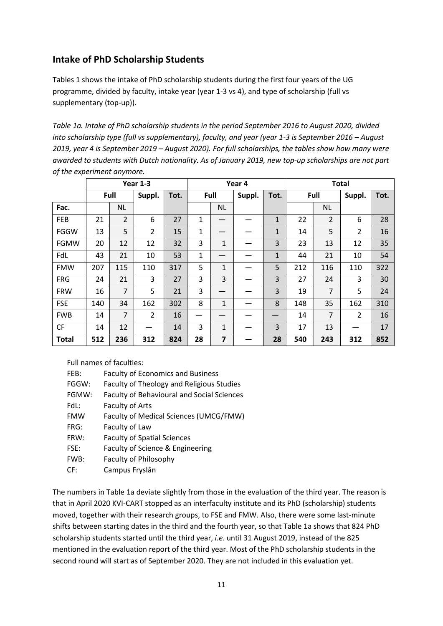# **Intake of PhD Scholarship Students**

Tables 1 shows the intake of PhD scholarship students during the first four years of the UG programme, divided by faculty, intake year (year 1-3 vs 4), and type of scholarship (full vs supplementary (top-up)).

*Table 1a. Intake of PhD scholarship students in the period September 2016 to August 2020, divided into scholarship type (full vs supplementary), faculty, and year (year 1-3 is September 2016 – August 2019, year 4 is September 2019 – August 2020). For full scholarships, the tables show how many were awarded to students with Dutch nationality. As of January 2019, new top-up scholarships are not part of the experiment anymore.*

|              | Year 1-3 |                |                | Year 4 |              |                |  | <b>Total</b> |        |                |                |      |        |      |
|--------------|----------|----------------|----------------|--------|--------------|----------------|--|--------------|--------|----------------|----------------|------|--------|------|
|              |          | Full           | Suppl.         | Tot.   | Full         |                |  |              | Suppl. | Tot.           |                | Full | Suppl. | Tot. |
| Fac.         |          | <b>NL</b>      |                |        |              | <b>NL</b>      |  |              |        | NL             |                |      |        |      |
| <b>FEB</b>   | 21       | $\overline{2}$ | 6              | 27     | $\mathbf{1}$ |                |  | $\mathbf{1}$ | 22     | $\overline{2}$ | 6              | 28   |        |      |
| <b>FGGW</b>  | 13       | 5              | $\overline{2}$ | 15     | 1            |                |  | 1            | 14     | 5              | $\overline{2}$ | 16   |        |      |
| FGMW         | 20       | 12             | 12             | 32     | 3            | 1              |  | 3            | 23     | 13             | 12             | 35   |        |      |
| FdL          | 43       | 21             | 10             | 53     | $\mathbf{1}$ |                |  | 1            | 44     | 21             | 10             | 54   |        |      |
| <b>FMW</b>   | 207      | 115            | 110            | 317    | 5            | $\mathbf{1}$   |  | 5            | 212    | 116            | 110            | 322  |        |      |
| <b>FRG</b>   | 24       | 21             | 3              | 27     | 3            | 3              |  | 3            | 27     | 24             | 3              | 30   |        |      |
| <b>FRW</b>   | 16       | $\overline{7}$ | 5              | 21     | 3            |                |  | 3            | 19     | $\overline{7}$ | 5              | 24   |        |      |
| <b>FSE</b>   | 140      | 34             | 162            | 302    | 8            | 1              |  | 8            | 148    | 35             | 162            | 310  |        |      |
| <b>FWB</b>   | 14       | $\overline{7}$ | $\overline{2}$ | 16     |              |                |  |              | 14     | 7              | 2              | 16   |        |      |
| <b>CF</b>    | 14       | 12             |                | 14     | 3            | $\mathbf{1}$   |  | 3            | 17     | 13             |                | 17   |        |      |
| <b>Total</b> | 512      | 236            | 312            | 824    | 28           | $\overline{7}$ |  | 28           | 540    | 243            | 312            | 852  |        |      |

Full names of faculties:

| FEB:       | <b>Faculty of Economics and Business</b>          |
|------------|---------------------------------------------------|
| FGGW:      | <b>Faculty of Theology and Religious Studies</b>  |
| FGMW:      | <b>Faculty of Behavioural and Social Sciences</b> |
| FdL:       | <b>Faculty of Arts</b>                            |
| <b>FMW</b> | Faculty of Medical Sciences (UMCG/FMW)            |
| FRG:       | Faculty of Law                                    |
| FRW:       | <b>Faculty of Spatial Sciences</b>                |
| FSE:       | Faculty of Science & Engineering                  |
| FWB:       | Faculty of Philosophy                             |
| CF:        | Campus Fryslân                                    |

The numbers in Table 1a deviate slightly from those in the evaluation of the third year. The reason is that in April 2020 KVI-CART stopped as an interfaculty institute and its PhD (scholarship) students moved, together with their research groups, to FSE and FMW. Also, there were some last-minute shifts between starting dates in the third and the fourth year, so that Table 1a shows that 824 PhD scholarship students started until the third year, *i.e*. until 31 August 2019, instead of the 825 mentioned in the evaluation report of the third year. Most of the PhD scholarship students in the second round will start as of September 2020. They are not included in this evaluation yet.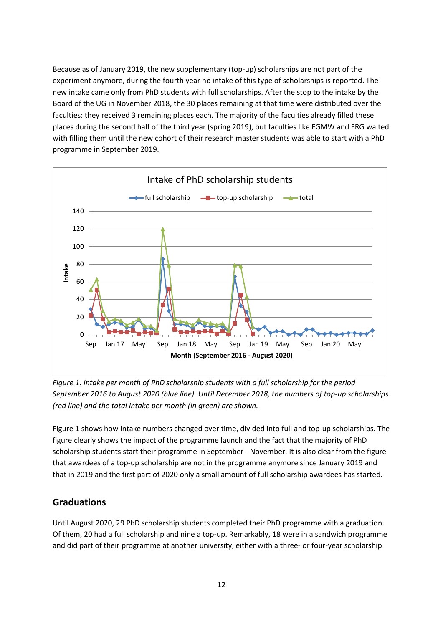Because as of January 2019, the new supplementary (top-up) scholarships are not part of the experiment anymore, during the fourth year no intake of this type of scholarships is reported. The new intake came only from PhD students with full scholarships. After the stop to the intake by the Board of the UG in November 2018, the 30 places remaining at that time were distributed over the faculties: they received 3 remaining places each. The majority of the faculties already filled these places during the second half of the third year (spring 2019), but faculties like FGMW and FRG waited with filling them until the new cohort of their research master students was able to start with a PhD programme in September 2019.



*Figure 1. Intake per month of PhD scholarship students with a full scholarship for the period September 2016 to August 2020 (blue line). Until December 2018, the numbers of top-up scholarships (red line) and the total intake per month (in green) are shown.*

Figure 1 shows how intake numbers changed over time, divided into full and top-up scholarships. The figure clearly shows the impact of the programme launch and the fact that the majority of PhD scholarship students start their programme in September - November. It is also clear from the figure that awardees of a top-up scholarship are not in the programme anymore since January 2019 and that in 2019 and the first part of 2020 only a small amount of full scholarship awardees has started.

### **Graduations**

Until August 2020, 29 PhD scholarship students completed their PhD programme with a graduation. Of them, 20 had a full scholarship and nine a top-up. Remarkably, 18 were in a sandwich programme and did part of their programme at another university, either with a three- or four-year scholarship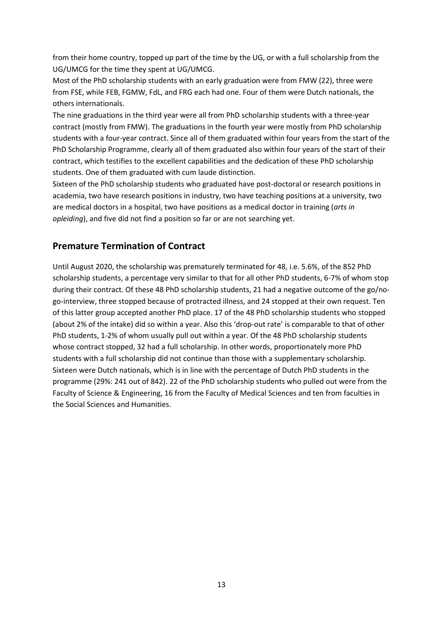from their home country, topped up part of the time by the UG, or with a full scholarship from the UG/UMCG for the time they spent at UG/UMCG.

Most of the PhD scholarship students with an early graduation were from FMW (22), three were from FSE, while FEB, FGMW, FdL, and FRG each had one. Four of them were Dutch nationals, the others internationals.

The nine graduations in the third year were all from PhD scholarship students with a three-year contract (mostly from FMW). The graduations in the fourth year were mostly from PhD scholarship students with a four-year contract. Since all of them graduated within four years from the start of the PhD Scholarship Programme, clearly all of them graduated also within four years of the start of their contract, which testifies to the excellent capabilities and the dedication of these PhD scholarship students. One of them graduated with cum laude distinction.

Sixteen of the PhD scholarship students who graduated have post-doctoral or research positions in academia, two have research positions in industry, two have teaching positions at a university, two are medical doctors in a hospital, two have positions as a medical doctor in training (*arts in opleiding*), and five did not find a position so far or are not searching yet.

### **Premature Termination of Contract**

Until August 2020, the scholarship was prematurely terminated for 48, i.e. 5.6%, of the 852 PhD scholarship students, a percentage very similar to that for all other PhD students, 6-7% of whom stop during their contract. Of these 48 PhD scholarship students, 21 had a negative outcome of the go/nogo-interview, three stopped because of protracted illness, and 24 stopped at their own request. Ten of this latter group accepted another PhD place. 17 of the 48 PhD scholarship students who stopped (about 2% of the intake) did so within a year. Also this 'drop-out rate' is comparable to that of other PhD students, 1-2% of whom usually pull out within a year. Of the 48 PhD scholarship students whose contract stopped, 32 had a full scholarship. In other words, proportionately more PhD students with a full scholarship did not continue than those with a supplementary scholarship. Sixteen were Dutch nationals, which is in line with the percentage of Dutch PhD students in the programme (29%: 241 out of 842). 22 of the PhD scholarship students who pulled out were from the Faculty of Science & Engineering, 16 from the Faculty of Medical Sciences and ten from faculties in the Social Sciences and Humanities.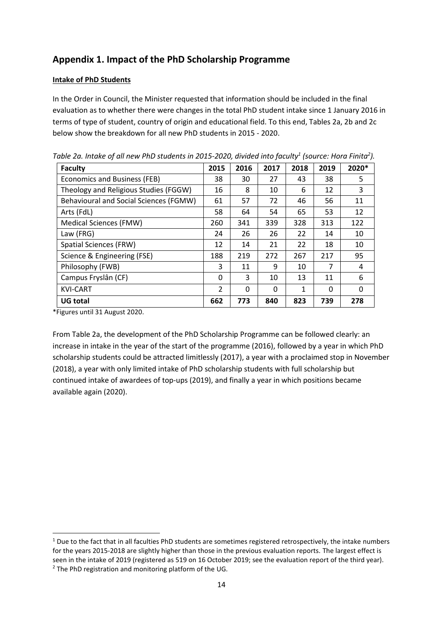# **Appendix 1. Impact of the PhD Scholarship Programme**

#### **Intake of PhD Students**

In the Order in Council, the Minister requested that information should be included in the final evaluation as to whether there were changes in the total PhD student intake since 1 January 2016 in terms of type of student, country of origin and educational field. To this end, Tables 2a, 2b and 2c below show the breakdown for all new PhD students in 2015 - 2020.

| <b>Faculty</b>                         | 2015           | 2016 | 2017     | 2018 | 2019     | 2020* |
|----------------------------------------|----------------|------|----------|------|----------|-------|
| Economics and Business (FEB)           | 38             | 30   | 27       | 43   | 38       | 5     |
| Theology and Religious Studies (FGGW)  | 16             | 8    | 10       | 6    | 12       | 3     |
| Behavioural and Social Sciences (FGMW) | 61             | 57   | 72       | 46   | 56       | 11    |
| Arts (FdL)                             | 58             | 64   | 54       | 65   | 53       | 12    |
| Medical Sciences (FMW)                 | 260            | 341  | 339      | 328  | 313      | 122   |
| Law (FRG)                              | 24             | 26   | 26       | 22   | 14       | 10    |
| <b>Spatial Sciences (FRW)</b>          | 12             | 14   | 21       | 22   | 18       | 10    |
| Science & Engineering (FSE)            | 188            | 219  | 272      | 267  | 217      | 95    |
| Philosophy (FWB)                       | 3              | 11   | 9        | 10   | 7        | 4     |
| Campus Fryslân (CF)                    | 0              | 3    | 10       | 13   | 11       | 6     |
| <b>KVI-CART</b>                        | $\overline{2}$ | 0    | $\Omega$ | 1    | $\Omega$ | 0     |
| <b>UG total</b>                        | 662            | 773  | 840      | 823  | 739      | 278   |

*Table 2a. Intake of all new PhD students in 2015-2020, divided into faculty<sup>1</sup> (source: Hora Finita<sup>2</sup> ).*

\*Figures until 31 August 2020.

**.** 

From Table 2a, the development of the PhD Scholarship Programme can be followed clearly: an increase in intake in the year of the start of the programme (2016), followed by a year in which PhD scholarship students could be attracted limitlessly (2017), a year with a proclaimed stop in November (2018), a year with only limited intake of PhD scholarship students with full scholarship but continued intake of awardees of top-ups (2019), and finally a year in which positions became available again (2020).

<sup>&</sup>lt;sup>1</sup> Due to the fact that in all faculties PhD students are sometimes registered retrospectively, the intake numbers for the years 2015-2018 are slightly higher than those in the previous evaluation reports. The largest effect is seen in the intake of 2019 (registered as 519 on 16 October 2019; see the evaluation report of the third year). <sup>2</sup> The PhD registration and monitoring platform of the UG.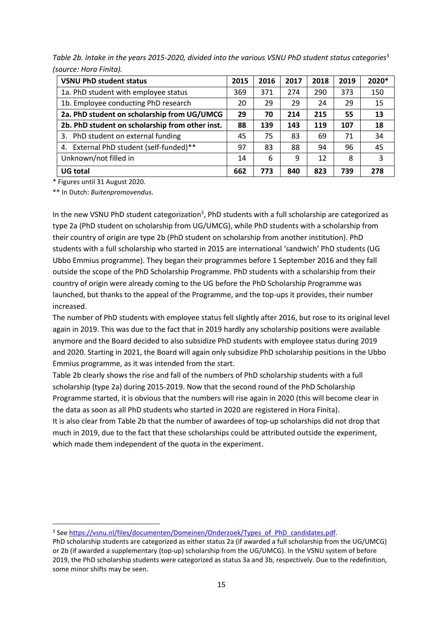*Table 2b. Intake in the years 2015-2020, divided into the various VSNU PhD student status categories*<sup>3</sup> *(source: Hora Finita).*

| <b>VSNU PhD student status</b>                  | 2015 | 2016 | 2017 | 2018 | 2019 | 2020* |
|-------------------------------------------------|------|------|------|------|------|-------|
| 1a. PhD student with employee status            | 369  | 371  | 274  | 290  | 373  | 150   |
| 1b. Employee conducting PhD research            | 20   | 29   | 29   | 24   | 29   | 15    |
| 2a. PhD student on scholarship from UG/UMCG     | 29   | 70   | 214  | 215  | 55   | 13    |
| 2b. PhD student on scholarship from other inst. | 88   | 139  | 143  | 119  | 107  | 18    |
| 3. PhD student on external funding              | 45   | 75   | 83   | 69   | 71   | 34    |
| 4. External PhD student (self-funded)**         | 97   | 83   | 88   | 94   | 96   | 45    |
| Unknown/not filled in                           | 14   | 6    | 9    | 12   | 8    | 3     |
| <b>UG total</b>                                 | 662  | 773  | 840  | 823  | 739  | 278   |

\* Figures until 31 August 2020.

**.** 

\*\* In Dutch: *Buitenpromovendus*.

In the new VSNU PhD student categorization<sup>3</sup>, PhD students with a full scholarship are categorized as type 2a (PhD student on scholarship from UG/UMCG), while PhD students with a scholarship from their country of origin are type 2b (PhD student on scholarship from another institution). PhD students with a full scholarship who started in 2015 are international 'sandwich' PhD students (UG Ubbo Emmius programme). They began their programmes before 1 September 2016 and they fall outside the scope of the PhD Scholarship Programme. PhD students with a scholarship from their country of origin were already coming to the UG before the PhD Scholarship Programme was launched, but thanks to the appeal of the Programme, and the top-ups it provides, their number increased.

The number of PhD students with employee status fell slightly after 2016, but rose to its original level again in 2019. This was due to the fact that in 2019 hardly any scholarship positions were available anymore and the Board decided to also subsidize PhD students with employee status during 2019 and 2020. Starting in 2021, the Board will again only subsidize PhD scholarship positions in the Ubbo Emmius programme, as it was intended from the start.

Table 2b clearly shows the rise and fall of the numbers of PhD scholarship students with a full scholarship (type 2a) during 2015-2019. Now that the second round of the PhD Scholarship Programme started, it is obvious that the numbers will rise again in 2020 (this will become clear in the data as soon as all PhD students who started in 2020 are registered in Hora Finita).

It is also clear from Table 2b that the number of awardees of top-up scholarships did not drop that much in 2019, due to the fact that these scholarships could be attributed outside the experiment, which made them independent of the quota in the experiment.

<sup>&</sup>lt;sup>3</sup> See [https://vsnu.nl/files/documenten/Domeinen/Onderzoek/Types\\_of\\_PhD\\_candidates.pdf.](https://vsnu.nl/files/documenten/Domeinen/Onderzoek/Types_of_PhD_candidates.pdf)

PhD scholarship students are categorized as either status 2a (if awarded a full scholarship from the UG/UMCG) or 2b (if awarded a supplementary (top-up) scholarship from the UG/UMCG). In the VSNU system of before 2019, the PhD scholarship students were categorized as status 3a and 3b, respectively. Due to the redefinition, some minor shifts may be seen.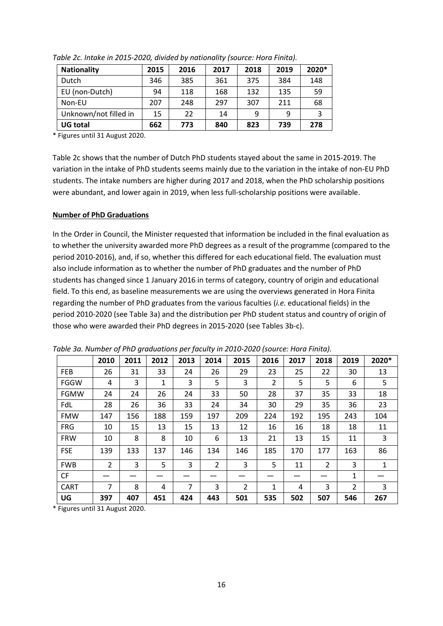| <b>Nationality</b>    | 2015 | 2016 | 2017 | 2018 | 2019 | 2020* |
|-----------------------|------|------|------|------|------|-------|
| Dutch                 | 346  | 385  | 361  | 375  | 384  | 148   |
| EU (non-Dutch)        | 94   | 118  | 168  | 132  | 135  | 59    |
| Non-EU                | 207  | 248  | 297  | 307  | 211  | 68    |
| Unknown/not filled in | 15   | 22   | 14   | 9    | 9    |       |
| <b>UG total</b>       | 662  | 773  | 840  | 823  | 739  | 278   |

*Table 2c. Intake in 2015-2020, divided by nationality (source: Hora Finita).*

\* Figures until 31 August 2020.

Table 2c shows that the number of Dutch PhD students stayed about the same in 2015-2019. The variation in the intake of PhD students seems mainly due to the variation in the intake of non-EU PhD students. The intake numbers are higher during 2017 and 2018, when the PhD scholarship positions were abundant, and lower again in 2019, when less full-scholarship positions were available.

#### **Number of PhD Graduations**

In the Order in Council, the Minister requested that information be included in the final evaluation as to whether the university awarded more PhD degrees as a result of the programme (compared to the period 2010-2016), and, if so, whether this differed for each educational field. The evaluation must also include information as to whether the number of PhD graduates and the number of PhD students has changed since 1 January 2016 in terms of category, country of origin and educational field. To this end, as baseline measurements we are using the overviews generated in Hora Finita regarding the number of PhD graduates from the various faculties (*i.e.* educational fields) in the period 2010-2020 (see Table 3a) and the distribution per PhD student status and country of origin of those who were awarded their PhD degrees in 2015-2020 (see Tables 3b-c).

|             | 2010           | 2011 | 2012         | 2013 | 2014           | 2015           | 2016 | 2017 | 2018 | 2019 | 2020*        |
|-------------|----------------|------|--------------|------|----------------|----------------|------|------|------|------|--------------|
| <b>FEB</b>  | 26             | 31   | 33           | 24   | 26             | 29             | 23   | 25   | 22   | 30   | 13           |
| <b>FGGW</b> | 4              | 3    | $\mathbf{1}$ | 3    | 5              | 3              | 2    | 5    | 5    | 6    | 5            |
| <b>FGMW</b> | 24             | 24   | 26           | 24   | 33             | 50             | 28   | 37   | 35   | 33   | 18           |
| FdL         | 28             | 26   | 36           | 33   | 24             | 34             | 30   | 29   | 35   | 36   | 23           |
| <b>FMW</b>  | 147            | 156  | 188          | 159  | 197            | 209            | 224  | 192  | 195  | 243  | 104          |
| <b>FRG</b>  | 10             | 15   | 13           | 15   | 13             | 12             | 16   | 16   | 18   | 18   | 11           |
| <b>FRW</b>  | 10             | 8    | 8            | 10   | 6              | 13             | 21   | 13   | 15   | 11   | 3            |
| <b>FSE</b>  | 139            | 133  | 137          | 146  | 134            | 146            | 185  | 170  | 177  | 163  | 86           |
| <b>FWB</b>  | $\overline{2}$ | 3    | 5            | 3    | $\overline{2}$ | 3              | 5    | 11   | 2    | 3    | $\mathbf{1}$ |
| <b>CF</b>   |                |      |              |      |                |                |      |      |      | 1    |              |
| <b>CART</b> | 7              | 8    | 4            | 7    | 3              | $\overline{2}$ | 1    | 4    | 3    | 2    | 3            |
| UG          | 397            | 407  | 451          | 424  | 443            | 501            | 535  | 502  | 507  | 546  | 267          |

*Table 3a. Number of PhD graduations per faculty in 2010-2020 (source: Hora Finita).*

**total** \* Figures until 31 August 2020.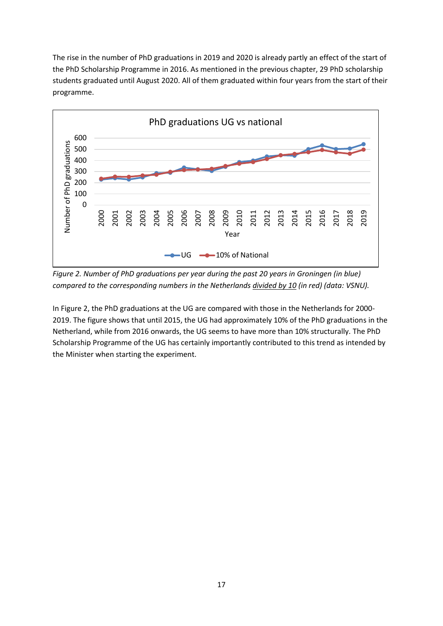The rise in the number of PhD graduations in 2019 and 2020 is already partly an effect of the start of the PhD Scholarship Programme in 2016. As mentioned in the previous chapter, 29 PhD scholarship students graduated until August 2020. All of them graduated within four years from the start of their programme.



*Figure 2. Number of PhD graduations per year during the past 20 years in Groningen (in blue) compared to the corresponding numbers in the Netherlands divided by 10 (in red) (data: VSNU).*

In Figure 2, the PhD graduations at the UG are compared with those in the Netherlands for 2000- 2019. The figure shows that until 2015, the UG had approximately 10% of the PhD graduations in the Netherland, while from 2016 onwards, the UG seems to have more than 10% structurally. The PhD Scholarship Programme of the UG has certainly importantly contributed to this trend as intended by the Minister when starting the experiment.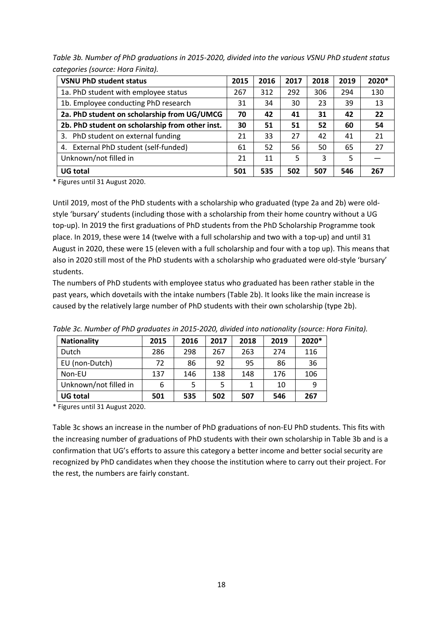*Table 3b. Number of PhD graduations in 2015-2020, divided into the various VSNU PhD student status categories (source: Hora Finita).*

| <b>VSNU PhD student status</b>                  | 2015 | 2016 | 2017 | 2018 | 2019 | 2020* |
|-------------------------------------------------|------|------|------|------|------|-------|
| 1a. PhD student with employee status            | 267  | 312  | 292  | 306  | 294  | 130   |
| 1b. Employee conducting PhD research            | 31   | 34   | 30   | 23   | 39   | 13    |
| 2a. PhD student on scholarship from UG/UMCG     | 70   | 42   | 41   | 31   | 42   | 22    |
| 2b. PhD student on scholarship from other inst. | 30   | 51   | 51   | 52   | 60   | 54    |
| 3. PhD student on external funding              | 21   | 33   | 27   | 42   | 41   | 21    |
| 4. External PhD student (self-funded)           |      | 52   | 56   | 50   | 65   | 27    |
| Unknown/not filled in                           | 21   | 11   | 5    | 3    | 5    |       |
| <b>UG</b> total                                 | 501  | 535  | 502  | 507  | 546  | 267   |

\* Figures until 31 August 2020.

Until 2019, most of the PhD students with a scholarship who graduated (type 2a and 2b) were oldstyle 'bursary' students (including those with a scholarship from their home country without a UG top-up). In 2019 the first graduations of PhD students from the PhD Scholarship Programme took place. In 2019, these were 14 (twelve with a full scholarship and two with a top-up) and until 31 August in 2020, these were 15 (eleven with a full scholarship and four with a top up). This means that also in 2020 still most of the PhD students with a scholarship who graduated were old-style 'bursary' students.

The numbers of PhD students with employee status who graduated has been rather stable in the past years, which dovetails with the intake numbers (Table 2b). It looks like the main increase is caused by the relatively large number of PhD students with their own scholarship (type 2b).

| <b>Nationality</b>    | 2015 | 2016 | 2017 | 2018 | 2019 | 2020* |
|-----------------------|------|------|------|------|------|-------|
| Dutch                 | 286  | 298  | 267  | 263  | 274  | 116   |
| EU (non-Dutch)        | 72   | 86   | 92   | 95   | 86   | 36    |
| Non-EU                | 137  | 146  | 138  | 148  | 176  | 106   |
| Unknown/not filled in | 6    |      |      |      | 10   | 9     |
| <b>UG total</b>       | 501  | 535  | 502  | 507  | 546  | 267   |

*Table 3c. Number of PhD graduates in 2015-2020, divided into nationality (source: Hora Finita).*

\* Figures until 31 August 2020.

Table 3c shows an increase in the number of PhD graduations of non-EU PhD students. This fits with the increasing number of graduations of PhD students with their own scholarship in Table 3b and is a confirmation that UG's efforts to assure this category a better income and better social security are recognized by PhD candidates when they choose the institution where to carry out their project. For the rest, the numbers are fairly constant.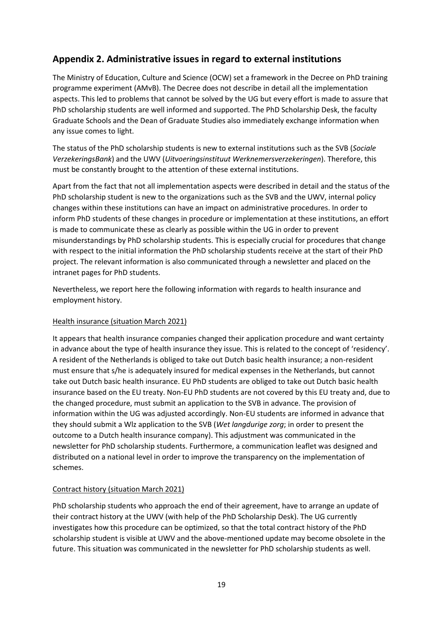# **Appendix 2. Administrative issues in regard to external institutions**

The Ministry of Education, Culture and Science (OCW) set a framework in the Decree on PhD training programme experiment (AMvB). The Decree does not describe in detail all the implementation aspects. This led to problems that cannot be solved by the UG but every effort is made to assure that PhD scholarship students are well informed and supported. The PhD Scholarship Desk, the faculty Graduate Schools and the Dean of Graduate Studies also immediately exchange information when any issue comes to light.

The status of the PhD scholarship students is new to external institutions such as the SVB (*Sociale VerzekeringsBank*) and the UWV (*Uitvoeringsinstituut Werknemersverzekeringen*). Therefore, this must be constantly brought to the attention of these external institutions.

Apart from the fact that not all implementation aspects were described in detail and the status of the PhD scholarship student is new to the organizations such as the SVB and the UWV, internal policy changes within these institutions can have an impact on administrative procedures. In order to inform PhD students of these changes in procedure or implementation at these institutions, an effort is made to communicate these as clearly as possible within the UG in order to prevent misunderstandings by PhD scholarship students. This is especially crucial for procedures that change with respect to the initial information the PhD scholarship students receive at the start of their PhD project. The relevant information is also communicated through a newsletter and placed on the intranet pages for PhD students.

Nevertheless, we report here the following information with regards to health insurance and employment history.

#### Health insurance (situation March 2021)

It appears that health insurance companies changed their application procedure and want certainty in advance about the type of health insurance they issue. This is related to the concept of 'residency'. A resident of the Netherlands is obliged to take out Dutch basic health insurance; a non-resident must ensure that s/he is adequately insured for medical expenses in the Netherlands, but cannot take out Dutch basic health insurance. EU PhD students are obliged to take out Dutch basic health insurance based on the EU treaty. Non-EU PhD students are not covered by this EU treaty and, due to the changed procedure, must submit an application to the SVB in advance. The provision of information within the UG was adjusted accordingly. Non-EU students are informed in advance that they should submit a Wlz application to the SVB (*Wet langdurige zorg*; in order to present the outcome to a Dutch health insurance company). This adjustment was communicated in the newsletter for PhD scholarship students. Furthermore, a communication leaflet was designed and distributed on a national level in order to improve the transparency on the implementation of schemes.

#### Contract history (situation March 2021)

PhD scholarship students who approach the end of their agreement, have to arrange an update of their contract history at the UWV (with help of the PhD Scholarship Desk). The UG currently investigates how this procedure can be optimized, so that the total contract history of the PhD scholarship student is visible at UWV and the above-mentioned update may become obsolete in the future. This situation was communicated in the newsletter for PhD scholarship students as well.